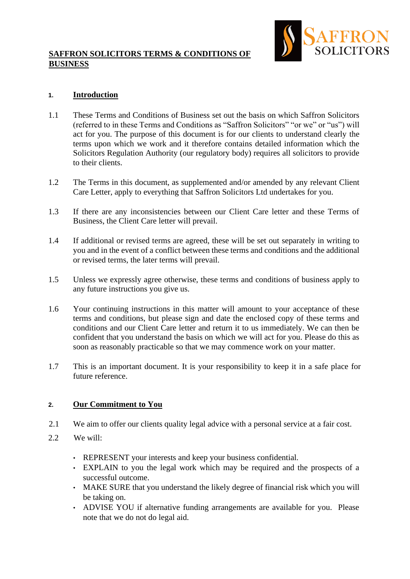## **SAFFRON SOLICITORS TERMS & CONDITIONS OF BUSINESS**



## **1. Introduction**

- 1.1 These Terms and Conditions of Business set out the basis on which Saffron Solicitors (referred to in these Terms and Conditions as "Saffron Solicitors" "or we" or "us") will act for you. The purpose of this document is for our clients to understand clearly the terms upon which we work and it therefore contains detailed information which the Solicitors Regulation Authority (our regulatory body) requires all solicitors to provide to their clients.
- 1.2 The Terms in this document, as supplemented and/or amended by any relevant Client Care Letter, apply to everything that Saffron Solicitors Ltd undertakes for you.
- 1.3 If there are any inconsistencies between our Client Care letter and these Terms of Business, the Client Care letter will prevail.
- 1.4 If additional or revised terms are agreed, these will be set out separately in writing to you and in the event of a conflict between these terms and conditions and the additional or revised terms, the later terms will prevail.
- 1.5 Unless we expressly agree otherwise, these terms and conditions of business apply to any future instructions you give us.
- 1.6 Your continuing instructions in this matter will amount to your acceptance of these terms and conditions, but please sign and date the enclosed copy of these terms and conditions and our Client Care letter and return it to us immediately. We can then be confident that you understand the basis on which we will act for you. Please do this as soon as reasonably practicable so that we may commence work on your matter.
- 1.7 This is an important document. It is your responsibility to keep it in a safe place for future reference.

#### **2. Our Commitment to You**

- 2.1 We aim to offer our clients quality legal advice with a personal service at a fair cost.
- 2.2 We will:
	- REPRESENT your interests and keep your business confidential.
	- EXPLAIN to you the legal work which may be required and the prospects of a successful outcome.
	- MAKE SURE that you understand the likely degree of financial risk which you will be taking on.
	- ADVISE YOU if alternative funding arrangements are available for you. Please note that we do not do legal aid.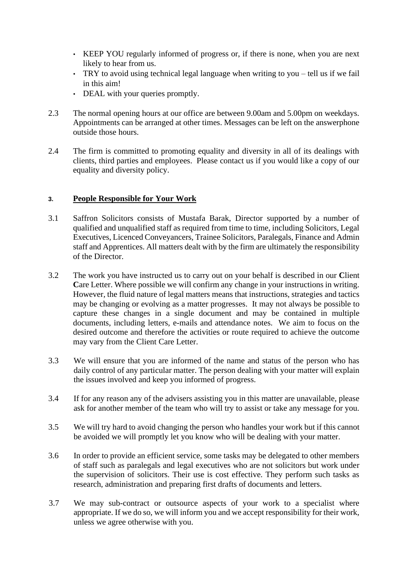- KEEP YOU regularly informed of progress or, if there is none, when you are next likely to hear from us.
- TRY to avoid using technical legal language when writing to you tell us if we fail in this aim!
- DEAL with your queries promptly.
- 2.3 The normal opening hours at our office are between 9.00am and 5.00pm on weekdays. Appointments can be arranged at other times. Messages can be left on the answerphone outside those hours.
- 2.4 The firm is committed to promoting equality and diversity in all of its dealings with clients, third parties and employees. Please contact us if you would like a copy of our equality and diversity policy.

## **3. People Responsible for Your Work**

- 3.1 Saffron Solicitors consists of Mustafa Barak, Director supported by a number of qualified and unqualified staff as required from time to time, including Solicitors, Legal Executives, Licenced Conveyancers, Trainee Solicitors, Paralegals, Finance and Admin staff and Apprentices. All matters dealt with by the firm are ultimately the responsibility of the Director.
- 3.2 The work you have instructed us to carry out on your behalf is described in our **C**lient Care Letter. Where possible we will confirm any change in your instructions in writing. However, the fluid nature of legal matters means that instructions, strategies and tactics may be changing or evolving as a matter progresses. It may not always be possible to capture these changes in a single document and may be contained in multiple documents, including letters, e-mails and attendance notes. We aim to focus on the desired outcome and therefore the activities or route required to achieve the outcome may vary from the Client Care Letter.
- 3.3 We will ensure that you are informed of the name and status of the person who has daily control of any particular matter. The person dealing with your matter will explain the issues involved and keep you informed of progress.
- 3.4 If for any reason any of the advisers assisting you in this matter are unavailable, please ask for another member of the team who will try to assist or take any message for you.
- 3.5 We will try hard to avoid changing the person who handles your work but if this cannot be avoided we will promptly let you know who will be dealing with your matter.
- 3.6 In order to provide an efficient service, some tasks may be delegated to other members of staff such as paralegals and legal executives who are not solicitors but work under the supervision of solicitors. Their use is cost effective. They perform such tasks as research, administration and preparing first drafts of documents and letters.
- 3.7 We may sub-contract or outsource aspects of your work to a specialist where appropriate. If we do so, we will inform you and we accept responsibility for their work, unless we agree otherwise with you.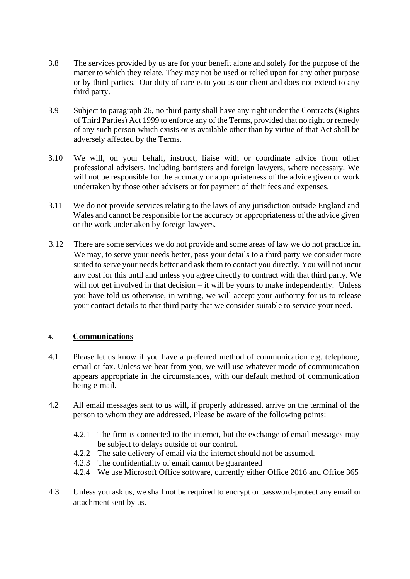- 3.8 The services provided by us are for your benefit alone and solely for the purpose of the matter to which they relate. They may not be used or relied upon for any other purpose or by third parties. Our duty of care is to you as our client and does not extend to any third party.
- 3.9 Subject to paragraph 26, no third party shall have any right under the Contracts (Rights of Third Parties) Act 1999 to enforce any of the Terms, provided that no right or remedy of any such person which exists or is available other than by virtue of that Act shall be adversely affected by the Terms.
- 3.10 We will, on your behalf, instruct, liaise with or coordinate advice from other professional advisers, including barristers and foreign lawyers, where necessary. We will not be responsible for the accuracy or appropriateness of the advice given or work undertaken by those other advisers or for payment of their fees and expenses.
- 3.11 We do not provide services relating to the laws of any jurisdiction outside England and Wales and cannot be responsible for the accuracy or appropriateness of the advice given or the work undertaken by foreign lawyers.
- 3.12 There are some services we do not provide and some areas of law we do not practice in. We may, to serve your needs better, pass your details to a third party we consider more suited to serve your needs better and ask them to contact you directly. You will not incur any cost for this until and unless you agree directly to contract with that third party. We will not get involved in that decision – it will be yours to make independently. Unless you have told us otherwise, in writing, we will accept your authority for us to release your contact details to that third party that we consider suitable to service your need.

## **4. Communications**

- 4.1 Please let us know if you have a preferred method of communication e.g. telephone, email or fax. Unless we hear from you, we will use whatever mode of communication appears appropriate in the circumstances, with our default method of communication being e-mail.
- 4.2 All email messages sent to us will, if properly addressed, arrive on the terminal of the person to whom they are addressed. Please be aware of the following points:
	- 4.2.1 The firm is connected to the internet, but the exchange of email messages may be subject to delays outside of our control.
	- 4.2.2 The safe delivery of email via the internet should not be assumed.
	- 4.2.3 The confidentiality of email cannot be guaranteed
	- 4.2.4 We use Microsoft Office software, currently either Office 2016 and Office 365
- 4.3 Unless you ask us, we shall not be required to encrypt or password-protect any email or attachment sent by us.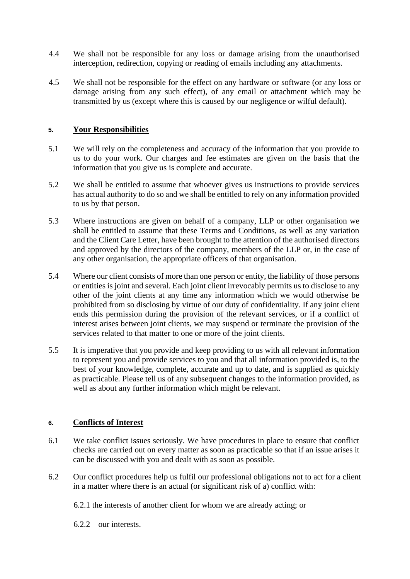- 4.4 We shall not be responsible for any loss or damage arising from the unauthorised interception, redirection, copying or reading of emails including any attachments.
- 4.5 We shall not be responsible for the effect on any hardware or software (or any loss or damage arising from any such effect), of any email or attachment which may be transmitted by us (except where this is caused by our negligence or wilful default).

### **5. Your Responsibilities**

- 5.1 We will rely on the completeness and accuracy of the information that you provide to us to do your work. Our charges and fee estimates are given on the basis that the information that you give us is complete and accurate.
- 5.2 We shall be entitled to assume that whoever gives us instructions to provide services has actual authority to do so and we shall be entitled to rely on any information provided to us by that person.
- 5.3 Where instructions are given on behalf of a company, LLP or other organisation we shall be entitled to assume that these Terms and Conditions, as well as any variation and the Client Care Letter, have been brought to the attention of the authorised directors and approved by the directors of the company, members of the LLP or, in the case of any other organisation, the appropriate officers of that organisation.
- 5.4 Where our client consists of more than one person or entity, the liability of those persons or entities is joint and several. Each joint client irrevocably permits us to disclose to any other of the joint clients at any time any information which we would otherwise be prohibited from so disclosing by virtue of our duty of confidentiality. If any joint client ends this permission during the provision of the relevant services, or if a conflict of interest arises between joint clients, we may suspend or terminate the provision of the services related to that matter to one or more of the joint clients.
- 5.5 It is imperative that you provide and keep providing to us with all relevant information to represent you and provide services to you and that all information provided is, to the best of your knowledge, complete, accurate and up to date, and is supplied as quickly as practicable. Please tell us of any subsequent changes to the information provided, as well as about any further information which might be relevant.

#### **6. Conflicts of Interest**

- 6.1 We take conflict issues seriously. We have procedures in place to ensure that conflict checks are carried out on every matter as soon as practicable so that if an issue arises it can be discussed with you and dealt with as soon as possible.
- 6.2 Our conflict procedures help us fulfil our professional obligations not to act for a client in a matter where there is an actual (or significant risk of a) conflict with:
	- 6.2.1 the interests of another client for whom we are already acting; or
	- 6.2.2 our interests.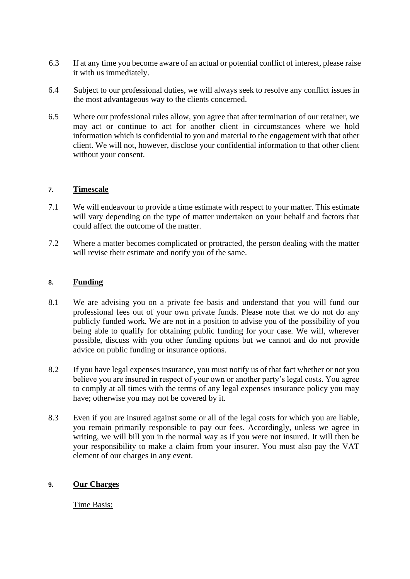- 6.3 If at any time you become aware of an actual or potential conflict of interest, please raise it with us immediately.
- 6.4 Subject to our professional duties, we will always seek to resolve any conflict issues in the most advantageous way to the clients concerned.
- 6.5 Where our professional rules allow, you agree that after termination of our retainer, we may act or continue to act for another client in circumstances where we hold information which is confidential to you and material to the engagement with that other client. We will not, however, disclose your confidential information to that other client without your consent.

#### **7. Timescale**

- 7.1 We will endeavour to provide a time estimate with respect to your matter. This estimate will vary depending on the type of matter undertaken on your behalf and factors that could affect the outcome of the matter.
- 7.2 Where a matter becomes complicated or protracted, the person dealing with the matter will revise their estimate and notify you of the same.

### **8. Funding**

- 8.1 We are advising you on a private fee basis and understand that you will fund our professional fees out of your own private funds. Please note that we do not do any publicly funded work. We are not in a position to advise you of the possibility of you being able to qualify for obtaining public funding for your case. We will, wherever possible, discuss with you other funding options but we cannot and do not provide advice on public funding or insurance options.
- 8.2 If you have legal expenses insurance, you must notify us of that fact whether or not you believe you are insured in respect of your own or another party's legal costs. You agree to comply at all times with the terms of any legal expenses insurance policy you may have; otherwise you may not be covered by it.
- 8.3 Even if you are insured against some or all of the legal costs for which you are liable, you remain primarily responsible to pay our fees. Accordingly, unless we agree in writing, we will bill you in the normal way as if you were not insured. It will then be your responsibility to make a claim from your insurer. You must also pay the VAT element of our charges in any event.

#### **9. Our Charges**

Time Basis: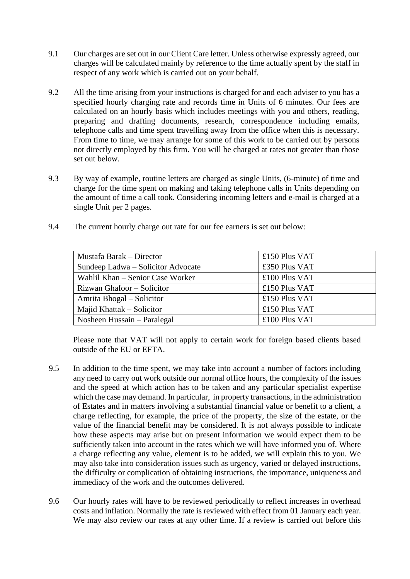- 9.1 Our charges are set out in our Client Care letter. Unless otherwise expressly agreed, our charges will be calculated mainly by reference to the time actually spent by the staff in respect of any work which is carried out on your behalf.
- 9.2 All the time arising from your instructions is charged for and each adviser to you has a specified hourly charging rate and records time in Units of 6 minutes. Our fees are calculated on an hourly basis which includes meetings with you and others, reading, preparing and drafting documents, research, correspondence including emails, telephone calls and time spent travelling away from the office when this is necessary. From time to time, we may arrange for some of this work to be carried out by persons not directly employed by this firm. You will be charged at rates not greater than those set out below.
- 9.3 By way of example, routine letters are charged as single Units, (6-minute) of time and charge for the time spent on making and taking telephone calls in Units depending on the amount of time a call took. Considering incoming letters and e-mail is charged at a single Unit per 2 pages.
- 9.4 The current hourly charge out rate for our fee earners is set out below:

| Mustafa Barak – Director           | £150 Plus VAT |
|------------------------------------|---------------|
| Sundeep Ladwa - Solicitor Advocate | £350 Plus VAT |
| Wahlil Khan – Senior Case Worker   | £100 Plus VAT |
| Rizwan Ghafoor – Solicitor         | £150 Plus VAT |
| Amrita Bhogal – Solicitor          | £150 Plus VAT |
| Majid Khattak – Solicitor          | £150 Plus VAT |
| Nosheen Hussain – Paralegal        | £100 Plus VAT |

Please note that VAT will not apply to certain work for foreign based clients based outside of the EU or EFTA.

- 9.5 In addition to the time spent, we may take into account a number of factors including any need to carry out work outside our normal office hours, the complexity of the issues and the speed at which action has to be taken and any particular specialist expertise which the case may demand. In particular, in property transactions, in the administration of Estates and in matters involving a substantial financial value or benefit to a client, a charge reflecting, for example, the price of the property, the size of the estate, or the value of the financial benefit may be considered. It is not always possible to indicate how these aspects may arise but on present information we would expect them to be sufficiently taken into account in the rates which we will have informed you of. Where a charge reflecting any value, element is to be added, we will explain this to you. We may also take into consideration issues such as urgency, varied or delayed instructions, the difficulty or complication of obtaining instructions, the importance, uniqueness and immediacy of the work and the outcomes delivered.
- 9.6 Our hourly rates will have to be reviewed periodically to reflect increases in overhead costs and inflation. Normally the rate is reviewed with effect from 01 January each year. We may also review our rates at any other time. If a review is carried out before this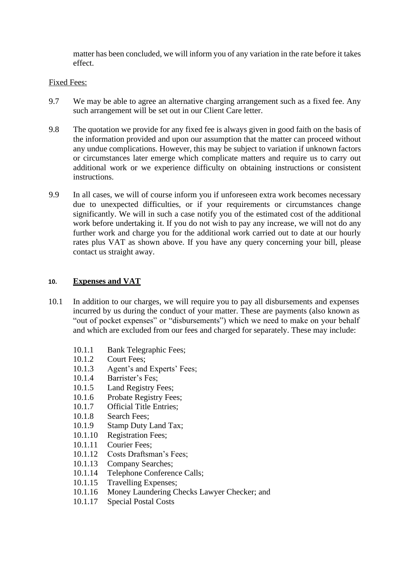matter has been concluded, we will inform you of any variation in the rate before it takes effect.

### Fixed Fees:

- 9.7 We may be able to agree an alternative charging arrangement such as a fixed fee. Any such arrangement will be set out in our Client Care letter.
- 9.8 The quotation we provide for any fixed fee is always given in good faith on the basis of the information provided and upon our assumption that the matter can proceed without any undue complications. However, this may be subject to variation if unknown factors or circumstances later emerge which complicate matters and require us to carry out additional work or we experience difficulty on obtaining instructions or consistent instructions.
- 9.9 In all cases, we will of course inform you if unforeseen extra work becomes necessary due to unexpected difficulties, or if your requirements or circumstances change significantly. We will in such a case notify you of the estimated cost of the additional work before undertaking it. If you do not wish to pay any increase, we will not do any further work and charge you for the additional work carried out to date at our hourly rates plus VAT as shown above. If you have any query concerning your bill, please contact us straight away.

### **10. Expenses and VAT**

- 10.1 In addition to our charges, we will require you to pay all disbursements and expenses incurred by us during the conduct of your matter. These are payments (also known as "out of pocket expenses" or "disbursements") which we need to make on your behalf and which are excluded from our fees and charged for separately. These may include:
	- 10.1.1 Bank Telegraphic Fees;
	- 10.1.2 Court Fees;
	- 10.1.3 Agent's and Experts' Fees;
	- 10.1.4 Barrister's Fes;
	- 10.1.5 Land Registry Fees;
	- 10.1.6 Probate Registry Fees;
	- 10.1.7 Official Title Entries;
	- 10.1.8 Search Fees;
	- 10.1.9 Stamp Duty Land Tax;
	- 10.1.10 Registration Fees;
	- 10.1.11 Courier Fees;
	- 10.1.12 Costs Draftsman's Fees;
	- 10.1.13 Company Searches;
	- 10.1.14 Telephone Conference Calls;
	- 10.1.15 Travelling Expenses;
	- 10.1.16 Money Laundering Checks Lawyer Checker; and
	- 10.1.17 Special Postal Costs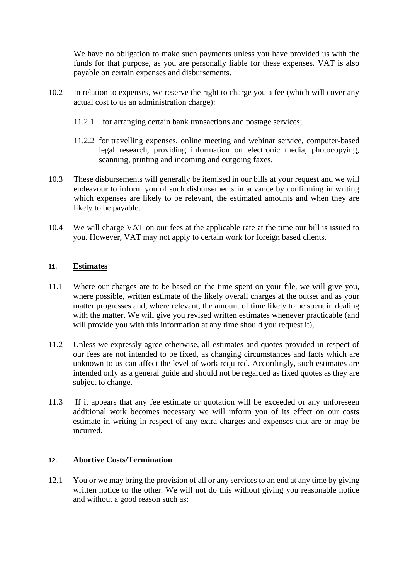We have no obligation to make such payments unless you have provided us with the funds for that purpose, as you are personally liable for these expenses. VAT is also payable on certain expenses and disbursements.

- 10.2 In relation to expenses, we reserve the right to charge you a fee (which will cover any actual cost to us an administration charge):
	- 11.2.1 for arranging certain bank transactions and postage services;
	- 11.2.2 for travelling expenses, online meeting and webinar service, computer-based legal research, providing information on electronic media, photocopying, scanning, printing and incoming and outgoing faxes.
- 10.3 These disbursements will generally be itemised in our bills at your request and we will endeavour to inform you of such disbursements in advance by confirming in writing which expenses are likely to be relevant, the estimated amounts and when they are likely to be payable.
- 10.4 We will charge VAT on our fees at the applicable rate at the time our bill is issued to you. However, VAT may not apply to certain work for foreign based clients.

### **11. Estimates**

- 11.1 Where our charges are to be based on the time spent on your file, we will give you, where possible, written estimate of the likely overall charges at the outset and as your matter progresses and, where relevant, the amount of time likely to be spent in dealing with the matter. We will give you revised written estimates whenever practicable (and will provide you with this information at any time should you request it),
- 11.2 Unless we expressly agree otherwise, all estimates and quotes provided in respect of our fees are not intended to be fixed, as changing circumstances and facts which are unknown to us can affect the level of work required. Accordingly, such estimates are intended only as a general guide and should not be regarded as fixed quotes as they are subject to change.
- 11.3 If it appears that any fee estimate or quotation will be exceeded or any unforeseen additional work becomes necessary we will inform you of its effect on our costs estimate in writing in respect of any extra charges and expenses that are or may be incurred.

#### **12. Abortive Costs/Termination**

12.1 You or we may bring the provision of all or any services to an end at any time by giving written notice to the other. We will not do this without giving you reasonable notice and without a good reason such as: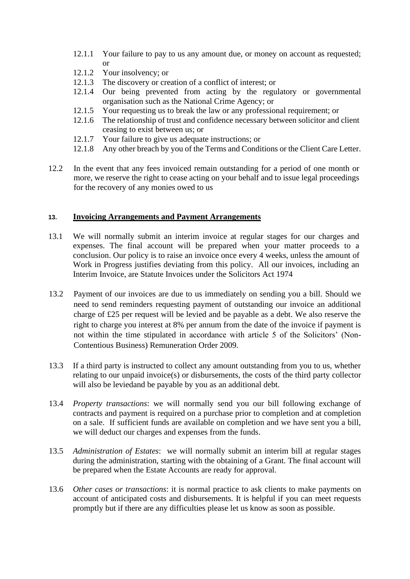- 12.1.1 Your failure to pay to us any amount due, or money on account as requested; or
- 12.1.2 Your insolvency; or
- 12.1.3 The discovery or creation of a conflict of interest; or
- 12.1.4 Our being prevented from acting by the regulatory or governmental organisation such as the National Crime Agency; or
- 12.1.5 Your requesting us to break the law or any professional requirement; or
- 12.1.6 The relationship of trust and confidence necessary between solicitor and client ceasing to exist between us; or
- 12.1.7 Your failure to give us adequate instructions; or
- 12.1.8 Any other breach by you of the Terms and Conditions or the Client Care Letter.
- 12.2 In the event that any fees invoiced remain outstanding for a period of one month or more, we reserve the right to cease acting on your behalf and to issue legal proceedings for the recovery of any monies owed to us

#### **13. Invoicing Arrangements and Payment Arrangements**

- 13.1 We will normally submit an interim invoice at regular stages for our charges and expenses. The final account will be prepared when your matter proceeds to a conclusion. Our policy is to raise an invoice once every 4 weeks, unless the amount of Work in Progress justifies deviating from this policy. All our invoices, including an Interim Invoice, are Statute Invoices under the Solicitors Act 1974
- 13.2 Payment of our invoices are due to us immediately on sending you a bill. Should we need to send reminders requesting payment of outstanding our invoice an additional charge of £25 per request will be levied and be payable as a debt. We also reserve the right to charge you interest at 8% per annum from the date of the invoice if payment is not within the time stipulated in accordance with article 5 of the Solicitors' (Non-Contentious Business) Remuneration Order 2009.
- 13.3 If a third party is instructed to collect any amount outstanding from you to us, whether relating to our unpaid invoice(s) or disbursements, the costs of the third party collector will also be leviedand be payable by you as an additional debt.
- 13.4 *Property transactions*: we will normally send you our bill following exchange of contracts and payment is required on a purchase prior to completion and at completion on a sale. If sufficient funds are available on completion and we have sent you a bill, we will deduct our charges and expenses from the funds.
- 13.5 *Administration of Estates*: we will normally submit an interim bill at regular stages during the administration, starting with the obtaining of a Grant. The final account will be prepared when the Estate Accounts are ready for approval.
- 13.6 *Other cases or transactions*: it is normal practice to ask clients to make payments on account of anticipated costs and disbursements. It is helpful if you can meet requests promptly but if there are any difficulties please let us know as soon as possible.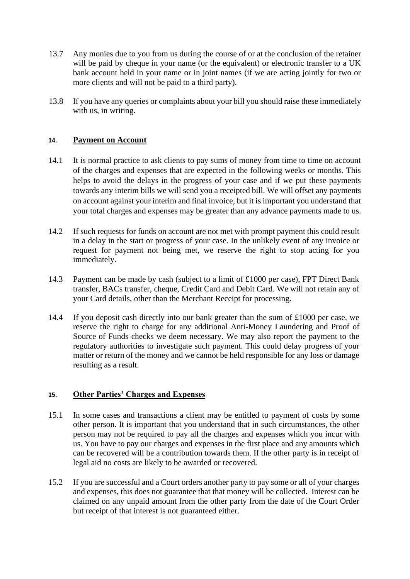- 13.7 Any monies due to you from us during the course of or at the conclusion of the retainer will be paid by cheque in your name (or the equivalent) or electronic transfer to a UK bank account held in your name or in joint names (if we are acting jointly for two or more clients and will not be paid to a third party).
- 13.8 If you have any queries or complaints about your bill you should raise these immediately with us, in writing.

### **14. Payment on Account**

- 14.1 It is normal practice to ask clients to pay sums of money from time to time on account of the charges and expenses that are expected in the following weeks or months. This helps to avoid the delays in the progress of your case and if we put these payments towards any interim bills we will send you a receipted bill. We will offset any payments on account against your interim and final invoice, but it is important you understand that your total charges and expenses may be greater than any advance payments made to us.
- 14.2 If such requests for funds on account are not met with prompt payment this could result in a delay in the start or progress of your case. In the unlikely event of any invoice or request for payment not being met, we reserve the right to stop acting for you immediately.
- 14.3 Payment can be made by cash (subject to a limit of £1000 per case), FPT Direct Bank transfer, BACs transfer, cheque, Credit Card and Debit Card. We will not retain any of your Card details, other than the Merchant Receipt for processing.
- 14.4 If you deposit cash directly into our bank greater than the sum of £1000 per case, we reserve the right to charge for any additional Anti-Money Laundering and Proof of Source of Funds checks we deem necessary. We may also report the payment to the regulatory authorities to investigate such payment. This could delay progress of your matter or return of the money and we cannot be held responsible for any loss or damage resulting as a result.

#### **15. Other Parties' Charges and Expenses**

- 15.1 In some cases and transactions a client may be entitled to payment of costs by some other person. It is important that you understand that in such circumstances, the other person may not be required to pay all the charges and expenses which you incur with us. You have to pay our charges and expenses in the first place and any amounts which can be recovered will be a contribution towards them. If the other party is in receipt of legal aid no costs are likely to be awarded or recovered.
- 15.2 If you are successful and a Court orders another party to pay some or all of your charges and expenses, this does not guarantee that that money will be collected. Interest can be claimed on any unpaid amount from the other party from the date of the Court Order but receipt of that interest is not guaranteed either.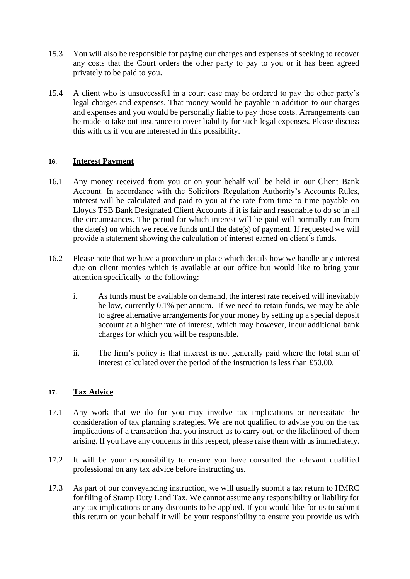- 15.3 You will also be responsible for paying our charges and expenses of seeking to recover any costs that the Court orders the other party to pay to you or it has been agreed privately to be paid to you.
- 15.4 A client who is unsuccessful in a court case may be ordered to pay the other party's legal charges and expenses. That money would be payable in addition to our charges and expenses and you would be personally liable to pay those costs. Arrangements can be made to take out insurance to cover liability for such legal expenses. Please discuss this with us if you are interested in this possibility.

### **16. Interest Payment**

- 16.1 Any money received from you or on your behalf will be held in our Client Bank Account. In accordance with the Solicitors Regulation Authority's Accounts Rules, interest will be calculated and paid to you at the rate from time to time payable on Lloyds TSB Bank Designated Client Accounts if it is fair and reasonable to do so in all the circumstances. The period for which interest will be paid will normally run from the date(s) on which we receive funds until the date(s) of payment. If requested we will provide a statement showing the calculation of interest earned on client's funds.
- 16.2 Please note that we have a procedure in place which details how we handle any interest due on client monies which is available at our office but would like to bring your attention specifically to the following:
	- i. As funds must be available on demand, the interest rate received will inevitably be low, currently 0.1% per annum. If we need to retain funds, we may be able to agree alternative arrangements for your money by setting up a special deposit account at a higher rate of interest, which may however, incur additional bank charges for which you will be responsible.
	- ii. The firm's policy is that interest is not generally paid where the total sum of interest calculated over the period of the instruction is less than £50.00.

#### **17. Tax Advice**

- 17.1 Any work that we do for you may involve tax implications or necessitate the consideration of tax planning strategies. We are not qualified to advise you on the tax implications of a transaction that you instruct us to carry out, or the likelihood of them arising. If you have any concerns in this respect, please raise them with us immediately.
- 17.2 It will be your responsibility to ensure you have consulted the relevant qualified professional on any tax advice before instructing us.
- 17.3 As part of our conveyancing instruction, we will usually submit a tax return to HMRC for filing of Stamp Duty Land Tax. We cannot assume any responsibility or liability for any tax implications or any discounts to be applied. If you would like for us to submit this return on your behalf it will be your responsibility to ensure you provide us with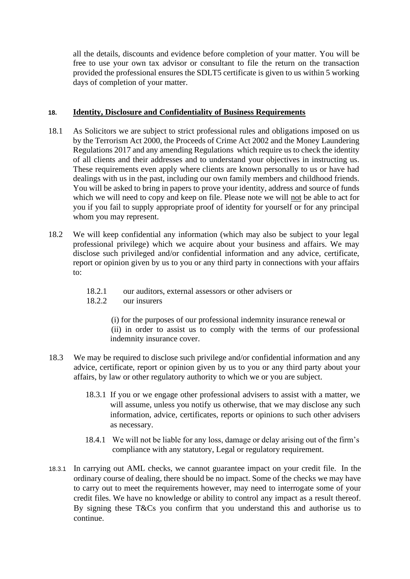all the details, discounts and evidence before completion of your matter. You will be free to use your own tax advisor or consultant to file the return on the transaction provided the professional ensures the SDLT5 certificate is given to us within 5 working days of completion of your matter.

### **18. Identity, Disclosure and Confidentiality of Business Requirements**

- 18.1 As Solicitors we are subject to strict professional rules and obligations imposed on us by the Terrorism Act 2000, the Proceeds of Crime Act 2002 and the Money Laundering Regulations 2017 and any amending Regulations which require us to check the identity of all clients and their addresses and to understand your objectives in instructing us. These requirements even apply where clients are known personally to us or have had dealings with us in the past, including our own family members and childhood friends. You will be asked to bring in papers to prove your identity, address and source of funds which we will need to copy and keep on file. Please note we will not be able to act for you if you fail to supply appropriate proof of identity for yourself or for any principal whom you may represent.
- 18.2 We will keep confidential any information (which may also be subject to your legal professional privilege) which we acquire about your business and affairs. We may disclose such privileged and/or confidential information and any advice, certificate, report or opinion given by us to you or any third party in connections with your affairs to:
	- 18.2.1 our auditors, external assessors or other advisers or
	- 18.2.2 our insurers

(i) for the purposes of our professional indemnity insurance renewal or (ii) in order to assist us to comply with the terms of our professional indemnity insurance cover.

- 18.3 We may be required to disclose such privilege and/or confidential information and any advice, certificate, report or opinion given by us to you or any third party about your affairs, by law or other regulatory authority to which we or you are subject.
	- 18.3.1 If you or we engage other professional advisers to assist with a matter, we will assume, unless you notify us otherwise, that we may disclose any such information, advice, certificates, reports or opinions to such other advisers as necessary.
	- 18.4.1 We will not be liable for any loss, damage or delay arising out of the firm's compliance with any statutory, Legal or regulatory requirement.
- 18.3.1 In carrying out AML checks, we cannot guarantee impact on your credit file. In the ordinary course of dealing, there should be no impact. Some of the checks we may have to carry out to meet the requirements however, may need to interrogate some of your credit files. We have no knowledge or ability to control any impact as a result thereof. By signing these T&Cs you confirm that you understand this and authorise us to continue.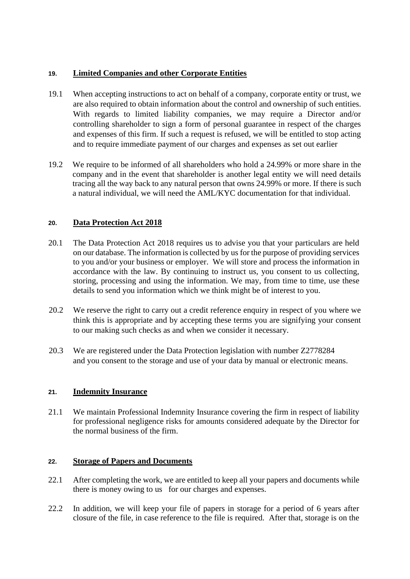## **19. Limited Companies and other Corporate Entities**

- 19.1 When accepting instructions to act on behalf of a company, corporate entity or trust, we are also required to obtain information about the control and ownership of such entities. With regards to limited liability companies, we may require a Director and/or controlling shareholder to sign a form of personal guarantee in respect of the charges and expenses of this firm. If such a request is refused, we will be entitled to stop acting and to require immediate payment of our charges and expenses as set out earlier
- 19.2 We require to be informed of all shareholders who hold a 24.99% or more share in the company and in the event that shareholder is another legal entity we will need details tracing all the way back to any natural person that owns 24.99% or more. If there is such a natural individual, we will need the AML/KYC documentation for that individual.

# **20. Data Protection Act 2018**

- 20.1 The Data Protection Act 2018 requires us to advise you that your particulars are held on our database. The information is collected by us for the purpose of providing services to you and/or your business or employer. We will store and process the information in accordance with the law. By continuing to instruct us, you consent to us collecting, storing, processing and using the information. We may, from time to time, use these details to send you information which we think might be of interest to you.
- 20.2 We reserve the right to carry out a credit reference enquiry in respect of you where we think this is appropriate and by accepting these terms you are signifying your consent to our making such checks as and when we consider it necessary.
- 20.3 We are registered under the Data Protection legislation with number Z2778284 and you consent to the storage and use of your data by manual or electronic means.

## **21. Indemnity Insurance**

21.1 We maintain Professional Indemnity Insurance covering the firm in respect of liability for professional negligence risks for amounts considered adequate by the Director for the normal business of the firm.

## **22. Storage of Papers and Documents**

- 22.1 After completing the work, we are entitled to keep all your papers and documents while there is money owing to us for our charges and expenses.
- 22.2 In addition, we will keep your file of papers in storage for a period of 6 years after closure of the file, in case reference to the file is required. After that, storage is on the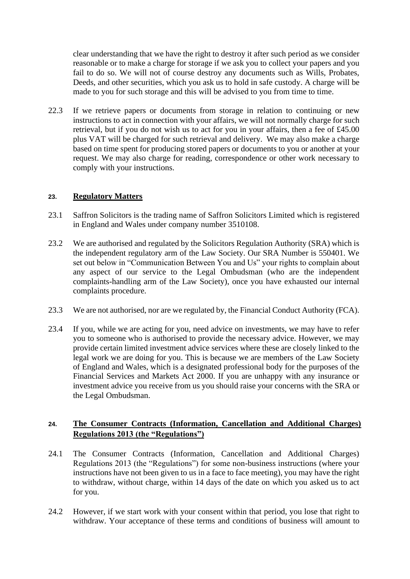clear understanding that we have the right to destroy it after such period as we consider reasonable or to make a charge for storage if we ask you to collect your papers and you fail to do so. We will not of course destroy any documents such as Wills, Probates, Deeds, and other securities, which you ask us to hold in safe custody. A charge will be made to you for such storage and this will be advised to you from time to time.

22.3 If we retrieve papers or documents from storage in relation to continuing or new instructions to act in connection with your affairs, we will not normally charge for such retrieval, but if you do not wish us to act for you in your affairs, then a fee of £45.00 plus VAT will be charged for such retrieval and delivery. We may also make a charge based on time spent for producing stored papers or documents to you or another at your request. We may also charge for reading, correspondence or other work necessary to comply with your instructions.

## **23. Regulatory Matters**

- 23.1 Saffron Solicitors is the trading name of Saffron Solicitors Limited which is registered in England and Wales under company number 3510108.
- 23.2 We are authorised and regulated by the Solicitors Regulation Authority (SRA) which is the independent regulatory arm of the Law Society. Our SRA Number is 550401. We set out below in "Communication Between You and Us" your rights to complain about any aspect of our service to the Legal Ombudsman (who are the independent complaints-handling arm of the Law Society), once you have exhausted our internal complaints procedure.
- 23.3 We are not authorised, nor are we regulated by, the Financial Conduct Authority (FCA).
- 23.4 If you, while we are acting for you, need advice on investments, we may have to refer you to someone who is authorised to provide the necessary advice. However, we may provide certain limited investment advice services where these are closely linked to the legal work we are doing for you. This is because we are members of the Law Society of England and Wales, which is a designated professional body for the purposes of the Financial Services and Markets Act 2000. If you are unhappy with any insurance or investment advice you receive from us you should raise your concerns with the SRA or the Legal Ombudsman.

## **24. The Consumer Contracts (Information, Cancellation and Additional Charges) Regulations 2013 (the "Regulations")**

- 24.1 The Consumer Contracts (Information, Cancellation and Additional Charges) Regulations 2013 (the "Regulations") for some non-business instructions (where your instructions have not been given to us in a face to face meeting), you may have the right to withdraw, without charge, within 14 days of the date on which you asked us to act for you.
- 24.2 However, if we start work with your consent within that period, you lose that right to withdraw. Your acceptance of these terms and conditions of business will amount to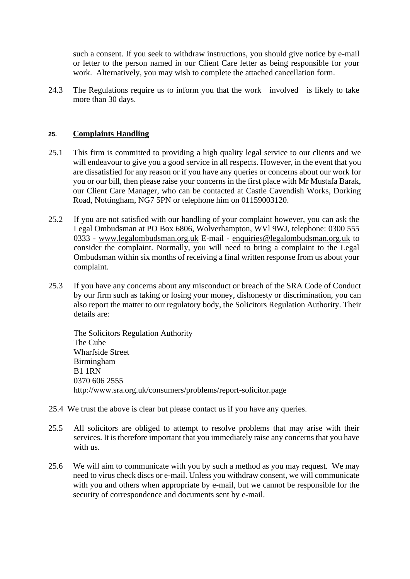such a consent. If you seek to withdraw instructions, you should give notice by e-mail or letter to the person named in our Client Care letter as being responsible for your work. Alternatively, you may wish to complete the attached cancellation form.

24.3 The Regulations require us to inform you that the work involved is likely to take more than 30 days.

### **25. Complaints Handling**

- 25.1 This firm is committed to providing a high quality legal service to our clients and we will endeavour to give you a good service in all respects. However, in the event that you are dissatisfied for any reason or if you have any queries or concerns about our work for you or our bill, then please raise your concerns in the first place with Mr Mustafa Barak, our Client Care Manager, who can be contacted at Castle Cavendish Works, Dorking Road, Nottingham, NG7 5PN or telephone him on 01159003120.
- 25.2 If you are not satisfied with our handling of your complaint however, you can ask the Legal Ombudsman at PO Box 6806, Wolverhampton, WVl 9WJ, telephone: 0300 555 0333 - www.legalombudsman.org.uk E-mail - enquiries@legalombudsman.org.uk to consider the complaint. Normally, you will need to bring a complaint to the Legal Ombudsman within six months of receiving a final written response from us about your complaint.
- 25.3 If you have any concerns about any misconduct or breach of the SRA Code of Conduct by our firm such as taking or losing your money, dishonesty or discrimination, you can also report the matter to our regulatory body, the Solicitors Regulation Authority. Their details are:

The Solicitors Regulation Authority The Cube Wharfside Street Birmingham B1 1RN 0370 606 2555 http://www.sra.org.uk/consumers/problems/report-solicitor.page

- 25.4 We trust the above is clear but please contact us if you have any queries.
- 25.5 All solicitors are obliged to attempt to resolve problems that may arise with their services. It is therefore important that you immediately raise any concerns that you have with us.
- 25.6 We will aim to communicate with you by such a method as you may request. We may need to virus check discs or e-mail. Unless you withdraw consent, we will communicate with you and others when appropriate by e-mail, but we cannot be responsible for the security of correspondence and documents sent by e-mail.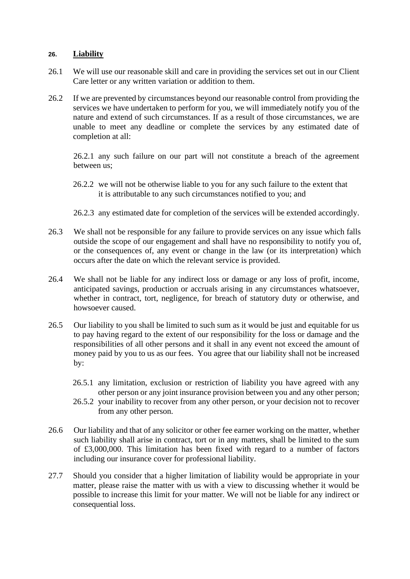### **26. Liability**

- 26.1 We will use our reasonable skill and care in providing the services set out in our Client Care letter or any written variation or addition to them.
- 26.2 If we are prevented by circumstances beyond our reasonable control from providing the services we have undertaken to perform for you, we will immediately notify you of the nature and extend of such circumstances. If as a result of those circumstances, we are unable to meet any deadline or complete the services by any estimated date of completion at all:

26.2.1 any such failure on our part will not constitute a breach of the agreement between us;

- 26.2.2 we will not be otherwise liable to you for any such failure to the extent that it is attributable to any such circumstances notified to you; and
- 26.2.3 any estimated date for completion of the services will be extended accordingly.
- 26.3 We shall not be responsible for any failure to provide services on any issue which falls outside the scope of our engagement and shall have no responsibility to notify you of, or the consequences of, any event or change in the law (or its interpretation) which occurs after the date on which the relevant service is provided.
- 26.4 We shall not be liable for any indirect loss or damage or any loss of profit, income, anticipated savings, production or accruals arising in any circumstances whatsoever, whether in contract, tort, negligence, for breach of statutory duty or otherwise, and howsoever caused.
- 26.5 Our liability to you shall be limited to such sum as it would be just and equitable for us to pay having regard to the extent of our responsibility for the loss or damage and the responsibilities of all other persons and it shall in any event not exceed the amount of money paid by you to us as our fees. You agree that our liability shall not be increased by:
	- 26.5.1 any limitation, exclusion or restriction of liability you have agreed with any other person or any joint insurance provision between you and any other person;
	- 26.5.2 your inability to recover from any other person, or your decision not to recover from any other person.
- 26.6 Our liability and that of any solicitor or other fee earner working on the matter, whether such liability shall arise in contract, tort or in any matters, shall be limited to the sum of £3,000,000. This limitation has been fixed with regard to a number of factors including our insurance cover for professional liability.
- 27.7 Should you consider that a higher limitation of liability would be appropriate in your matter, please raise the matter with us with a view to discussing whether it would be possible to increase this limit for your matter. We will not be liable for any indirect or consequential loss.